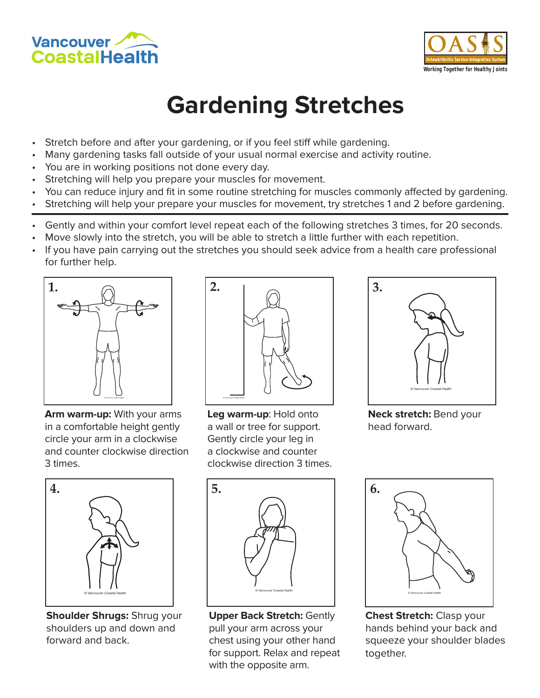



## **Gardening Stretches**

- Stretch before and after your gardening, or if you feel stiff while gardening.
- Many gardening tasks fall outside of your usual normal exercise and activity routine.
- You are in working positions not done every day.
- Stretching will help you prepare your muscles for movement.
- You can reduce injury and fit in some routine stretching for muscles commonly affected by gardening.
- Stretching will help your prepare your muscles for movement, try stretches 1 and 2 before gardening.
- Gently and within your comfort level repeat each of the following stretches 3 times, for 20 seconds.
- Move slowly into the stretch, you will be able to stretch a little further with each repetition.
- If you have pain carrying out the stretches you should seek advice from a health care professional for further help.



**Arm warm-up:** With your arms in a comfortable height gently circle your arm in a clockwise and counter clockwise direction 3 times.



**Leg warm-up**: Hold onto a wall or tree for support. Gently circle your leg in a clockwise and counter clockwise direction 3 times.



**Neck stretch:** Bend your head forward.



**Shoulder Shrugs:** Shrug your shoulders up and down and forward and back.



**Upper Back Stretch:** Gently pull your arm across your chest using your other hand for support. Relax and repeat with the opposite arm.



**Chest Stretch:** Clasp your hands behind your back and squeeze your shoulder blades together.